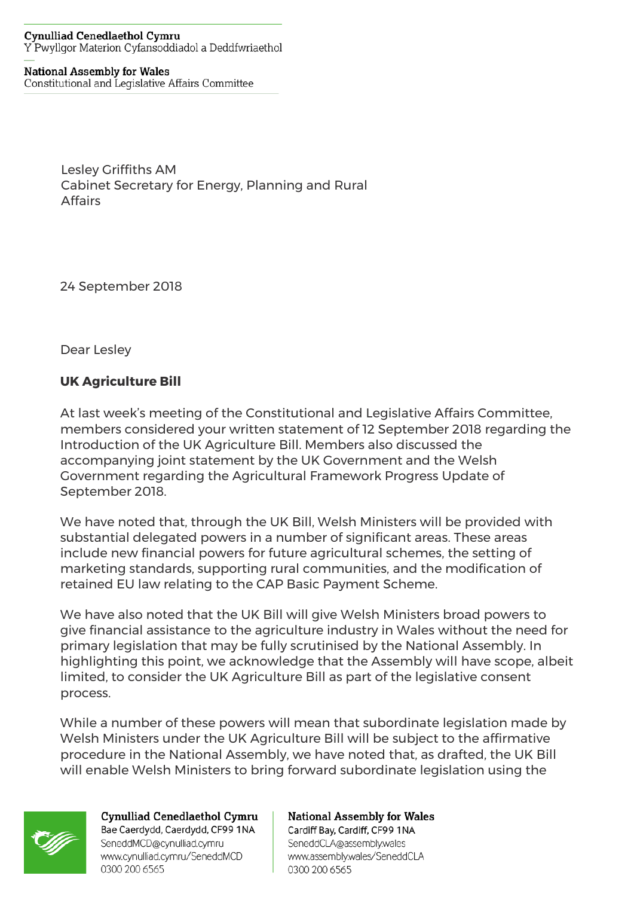## **Cynulliad Cenedlaethol Cymru** Y Pwyllgor Materion Cyfansoddiadol a Deddfwriaethol

## **National Assembly for Wales** Constitutional and Legislative Affairs Committee

Lesley Griffiths AM Cabinet Secretary for Energy, Planning and Rural **Affairs** 

24 September 2018

Dear Lesley

## **UK Agriculture Bill**

At last week's meeting of the Constitutional and Legislative Affairs Committee, members considered your written statement of 12 September 2018 regarding the Introduction of the UK Agriculture Bill. Members also discussed the accompanying joint statement by the UK Government and the Welsh Government regarding the Agricultural Framework Progress Update of September 2018.

We have noted that, through the UK Bill, Welsh Ministers will be provided with substantial delegated powers in a number of significant areas. These areas include new financial powers for future agricultural schemes, the setting of marketing standards, supporting rural communities, and the modification of retained EU law relating to the CAP Basic Payment Scheme.

We have also noted that the UK Bill will give Welsh Ministers broad powers to give financial assistance to the agriculture industry in Wales without the need for primary legislation that may be fully scrutinised by the National Assembly. In highlighting this point, we acknowledge that the Assembly will have scope, albeit limited, to consider the UK Agriculture Bill as part of the legislative consent process.

While a number of these powers will mean that subordinate legislation made by Welsh Ministers under the UK Agriculture Bill will be subject to the affirmative procedure in the National Assembly, we have noted that, as drafted, the UK Bill will enable Welsh Ministers to bring forward subordinate legislation using the



Cynulliad Cenedlaethol Cymru Bae Caerdydd, Caerdydd, CF99 1NA SeneddMCD@cynulliad.cymru www.cynulliad.cymru/SeneddMCD 0300 200 6565

## **National Assembly for Wales** Cardiff Bay, Cardiff, CF99 1NA

SeneddCLA@assembly.wales www.assembly.wales/SeneddCLA 0300 200 6565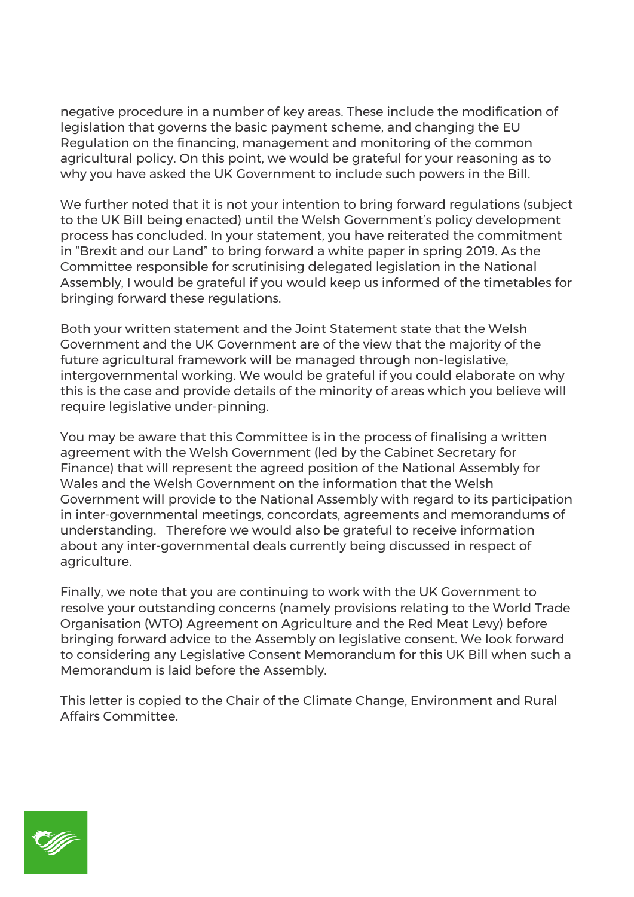negative procedure in a number of key areas. These include the modification of legislation that governs the basic payment scheme, and changing the EU Regulation on the financing, management and monitoring of the common agricultural policy. On this point, we would be grateful for your reasoning as to why you have asked the UK Government to include such powers in the Bill.

We further noted that it is not your intention to bring forward regulations (subject to the UK Bill being enacted) until the Welsh Government's policy development process has concluded. In your statement, you have reiterated the commitment in "Brexit and our Land" to bring forward a white paper in spring 2019. As the Committee responsible for scrutinising delegated legislation in the National Assembly, I would be grateful if you would keep us informed of the timetables for bringing forward these regulations.

Both your written statement and the Joint Statement state that the Welsh Government and the UK Government are of the view that the majority of the future agricultural framework will be managed through non-legislative, intergovernmental working. We would be grateful if you could elaborate on why this is the case and provide details of the minority of areas which you believe will require legislative under-pinning.

You may be aware that this Committee is in the process of finalising a written agreement with the Welsh Government (led by the Cabinet Secretary for Finance) that will represent the agreed position of the National Assembly for Wales and the Welsh Government on the information that the Welsh Government will provide to the National Assembly with regard to its participation in inter-governmental meetings, concordats, agreements and memorandums of understanding. Therefore we would also be grateful to receive information about any inter-governmental deals currently being discussed in respect of agriculture.

Finally, we note that you are continuing to work with the UK Government to resolve your outstanding concerns (namely provisions relating to the World Trade Organisation (WTO) Agreement on Agriculture and the Red Meat Levy) before bringing forward advice to the Assembly on legislative consent. We look forward to considering any Legislative Consent Memorandum for this UK Bill when such a Memorandum is laid before the Assembly.

This letter is copied to the Chair of the Climate Change, Environment and Rural Affairs Committee.